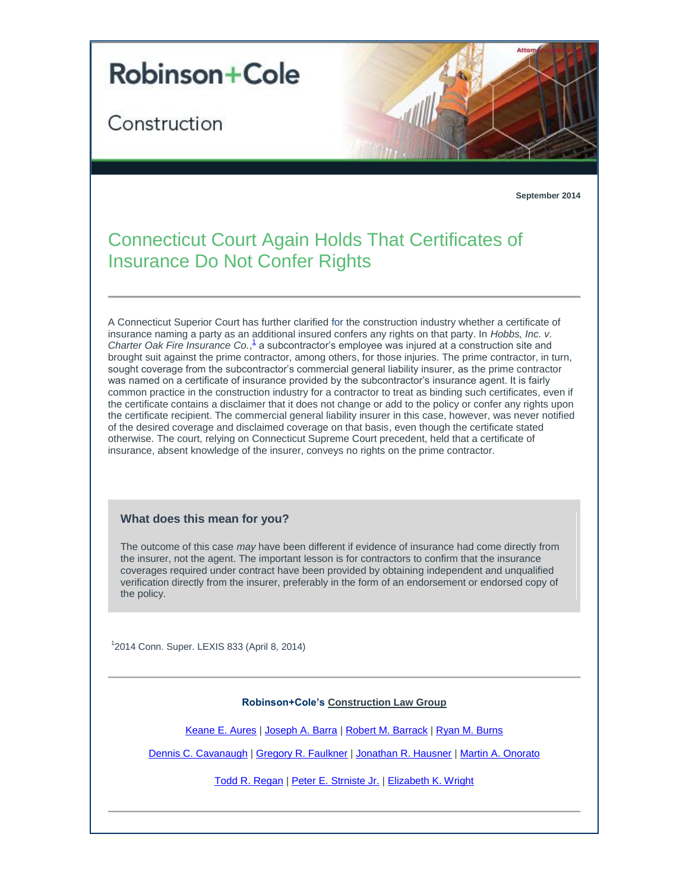

Construction



## **September 2014**

## Connecticut Court Again Holds That Certificates of Insurance Do Not Confer Rights

A Connecticut Superior Court has further clarified for the construction industry whether a certificate of insurance naming a party as an additional insured confers any rights on that party. In *Hobbs, Inc. v.*  Charter Oak Fire Insurance Co.<sup>1</sup> a subcontractor's employee was injured at a construction site and brought suit against the prime contractor, among others, for those injuries. The prime contractor, in turn, sought coverage from the subcontractor's commercial general liability insurer, as the prime contractor was named on a certificate of insurance provided by the subcontractor's insurance agent. It is fairly common practice in the construction industry for a contractor to treat as binding such certificates, even if the certificate contains a disclaimer that it does not change or add to the policy or confer any rights upon the certificate recipient. The commercial general liability insurer in this case, however, was never notified of the desired coverage and disclaimed coverage on that basis, even though the certificate stated otherwise. The court, relying on Connecticut Supreme Court precedent, held that a certificate of insurance, absent knowledge of the insurer, conveys no rights on the prime contractor.

## **What does this mean for you?**

The outcome of this case *may* have been different if evidence of insurance had come directly from the insurer, not the agent. The important lesson is for contractors to confirm that the insurance coverages required under contract have been provided by obtaining independent and unqualified verification directly from the insurer, preferably in the form of an endorsement or endorsed copy of the policy.

<span id="page-0-0"></span>1 2014 Conn. Super. LEXIS 833 (April 8, 2014)

## **Robinson+Cole's [Construction Law Group](http://t2806904.omkt.co/track.aspx?id=402|2AD478|6F10|27A|739|0|533|1|38E88E53&destination=http%3a%2f%2fwww.rc.com%2fpractices%2fConstructionLaw%2findex.cfm%3futm_source%3dVocus%26utm_medium%3demail%26utm_campaign%3dRobinson%2b%2526%2bCole%2bLLP%26utm_content%3dLLCN%2bUpdate%2bSeptember%2b2014%2b2&dchk=23DA6696)**

[Keane E. Aures](http://t2806904.omkt.co/track.aspx?id=402|2AD478|6F10|27A|739|0|534|1|38E88E53&destination=http%3a%2f%2fwww.rc.com%2fpeople%2fKeaneEAures.cfm%3futm_source%3dVocus%26utm_medium%3demail%26utm_campaign%3dRobinson%2b%2526%2bCole%2bLLP%26utm_content%3dLLCN%2bUpdate%2bSeptember%2b2014%2b2&dchk=3AF4FF64) | [Joseph A. Barra](http://t2806904.omkt.co/track.aspx?id=402|2AD478|6F10|27A|739|0|535|1|38E88E53&destination=http%3a%2f%2fwww.rc.com%2fpeople%2fJosephABarra.cfm%3futm_source%3dVocus%26utm_medium%3demail%26utm_campaign%3dRobinson%2b%2526%2bCole%2bLLP%26utm_content%3dLLCN%2bUpdate%2bSeptember%2b2014%2b2&dchk=6B29B227) | [Robert M. Barrack](http://t2806904.omkt.co/track.aspx?id=402|2AD478|6F10|27A|739|0|536|1|38E88E53&destination=http%3a%2f%2fwww.rc.com%2fpeople%2fRobertMBarrack.cfm%3futm_source%3dVocus%26utm_medium%3demail%26utm_campaign%3dRobinson%2b%2526%2bCole%2bLLP%26utm_content%3dLLCN%2bUpdate%2bSeptember%2b2014%2b2&dchk=40F7E2A6) | [Ryan M. Burns](http://t2806904.omkt.co/track.aspx?id=402|2AD478|6F10|27A|739|0|537|1|38E88E53&destination=http%3a%2f%2fwww.rc.com%2fpeople%2fRyanMBurns.cfm%3futm_source%3dVocus%26utm_medium%3demail%26utm_campaign%3dRobinson%2b%2526%2bCole%2bLLP%26utm_content%3dLLCN%2bUpdate%2bSeptember%2b2014%2b2&dchk=FC3C6D)

[Dennis C. Cavanaugh](http://t2806904.omkt.co/track.aspx?id=402|2AD478|6F10|27A|739|0|538|1|38E88E53&destination=http%3a%2f%2fwww.rc.com%2fpeople%2fDennisCCavanaugh.cfm%3futm_source%3dVocus%26utm_medium%3demail%26utm_campaign%3dRobinson%2b%2526%2bCole%2bLLP%26utm_content%3dLLCN%2bUpdate%2bSeptember%2b2014%2b2&dchk=5BD36EFE) | [Gregory R. Faulkner](http://t2806904.omkt.co/track.aspx?id=402|2AD478|6F10|27A|739|0|539|1|38E88E53&destination=http%3a%2f%2fwww.rc.com%2fpeople%2fGregoryRFaulkner.cfm%3futm_source%3dVocus%26utm_medium%3demail%26utm_campaign%3dRobinson%2b%2526%2bCole%2bLLP%26utm_content%3dLLCN%2bUpdate%2bSeptember%2b2014%2b2&dchk=3AC06B2C) | [Jonathan R. Hausner](http://t2806904.omkt.co/track.aspx?id=402|2AD478|6F10|27A|739|0|53A|1|38E88E53&destination=http%3a%2f%2fwww.rc.com%2fpeople%2fJonathanRHausner.cfm%3futm_source%3dVocus%26utm_medium%3demail%26utm_campaign%3dRobinson%2b%2526%2bCole%2bLLP%26utm_content%3dLLCN%2bUpdate%2bSeptember%2b2014%2b2&dchk=65DED927) | [Martin A. Onorato](http://t2806904.omkt.co/track.aspx?id=402|2AD478|6F10|27A|739|0|53B|1|38E88E53&destination=http%3a%2f%2fwww.rc.com%2fpeople%2fMartinAOnorato.cfm%3futm_source%3dVocus%26utm_medium%3demail%26utm_campaign%3dRobinson%2b%2526%2bCole%2bLLP%26utm_content%3dLLCN%2bUpdate%2bSeptember%2b2014%2b2&dchk=700362CD)

[Todd R. Regan](http://t2806904.omkt.co/track.aspx?id=402|2AD478|6F10|27A|739|0|53C|1|38E88E53&destination=http%3a%2f%2fwww.rc.com%2fpeople%2fToddRRegan.cfm%3futm_source%3dVocus%26utm_medium%3demail%26utm_campaign%3dRobinson%2b%2526%2bCole%2bLLP%26utm_content%3dLLCN%2bUpdate%2bSeptember%2b2014%2b2&dchk=780142E5) | [Peter E. Strniste Jr.](http://t2806904.omkt.co/track.aspx?id=402|2AD478|6F10|27A|739|0|53D|1|38E88E53&destination=http%3a%2f%2fwww.rc.com%2fpeople%2fPeterEStrnisteJr.cfm%3futm_source%3dVocus%26utm_medium%3demail%26utm_campaign%3dRobinson%2b%2526%2bCole%2bLLP%26utm_content%3dLLCN%2bUpdate%2bSeptember%2b2014%2b2&dchk=1D3B9DA9) | [Elizabeth K. Wright](http://t2806904.omkt.co/track.aspx?id=402|2AD478|6F10|27A|739|0|53E|1|38E88E53&destination=http%3a%2f%2fwww.rc.com%2fpeople%2fElizabethKWright.cfm%3futm_source%3dVocus%26utm_medium%3demail%26utm_campaign%3dRobinson%2b%2526%2bCole%2bLLP%26utm_content%3dLLCN%2bUpdate%2bSeptember%2b2014%2b2&dchk=C3B8A57)